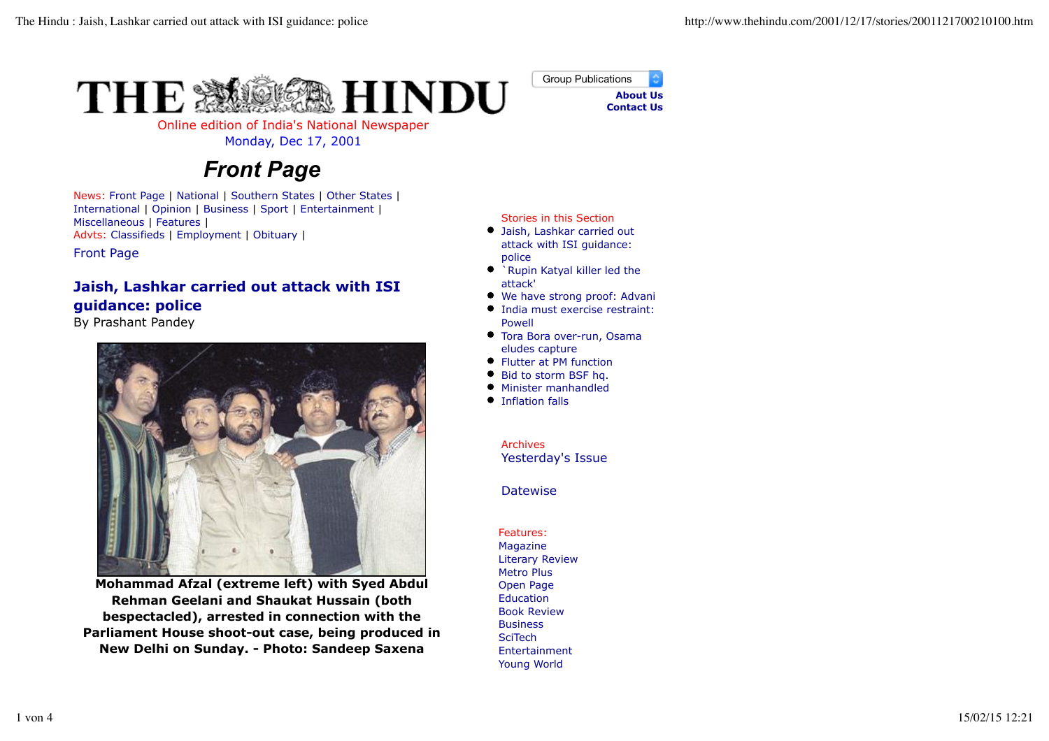



Online edition of India's National Newspaper

## Monday, Dec 17, 2001

## *Front Page*

News: Front Page | National | Southern States | Other States | International | Opinion | Business | Sport | Entertainment | Miscellaneous | Features | Advts: Classifieds | Employment | Obituary |

Front Page

## **Jaish, Lashkar carried out attack with ISI guidance: police**

By Prashant Pandey



**Mohammad Afzal (extreme left) with Syed Abdul Rehman Geelani and Shaukat Hussain (both bespectacled), arrested in connection with the Parliament House shoot-out case, being produced in New Delhi on Sunday. - Photo: Sandeep Saxena**

Stories in this Section

- Jaish, Lashkar carried out attack with ISI guidance: police
- $\bullet$ `Rupin Katyal killer led the attack'
- We have strong proof: Advani
- India must exercise restraint: Powell
- Tora Bora over-run, Osama eludes capture
- Flutter at PM function
- Bid to storm BSF hq.
- Minister manhandled
- $\bullet$  Inflation falls

Archives Yesterday's Issue

**Datewise** 

Features: Magazine Literary Review Metro Plus Open Page Education Book Review **Business** SciTech Entertainment Young World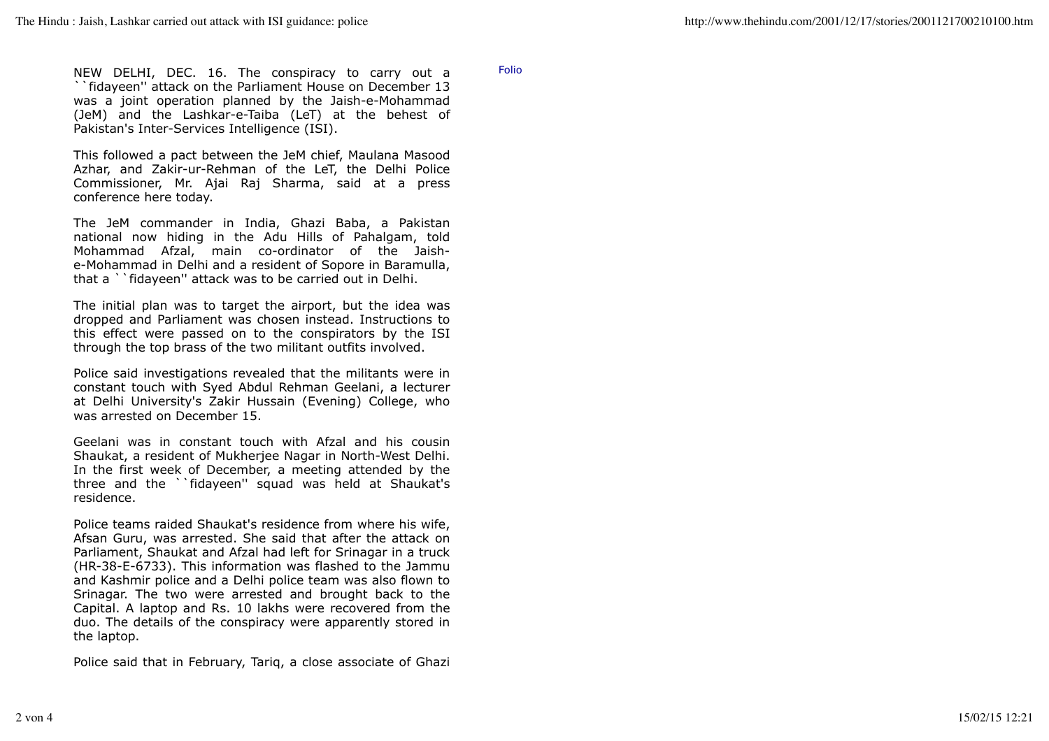NEW DELHI, DEC. 16. The conspiracy to carry out a ``fidayeen'' attack on the Parliament House on December 13 was a joint operation planned by the Jaish-e-Mohammad (JeM) and the Lashkar-e-Taiba (LeT) at the behest of Pakistan's Inter-Services Intelligence (ISI).

This followed a pact between the JeM chief, Maulana Masood Azhar, and Zakir-ur-Rehman of the LeT, the Delhi Police Commissioner, Mr. Ajai Raj Sharma, said at a press conference here today.

The JeM commander in India, Ghazi Baba, a Pakistan national now hiding in the Adu Hills of Pahalgam, told Mohammad Afzal, main co-ordinator of the Jaishe-Mohammad in Delhi and a resident of Sopore in Baramulla, that a ``fidayeen'' attack was to be carried out in Delhi.

The initial plan was to target the airport, but the idea was dropped and Parliament was chosen instead. Instructions to this effect were passed on to the conspirators by the ISI through the top brass of the two militant outfits involved.

Police said investigations revealed that the militants were in constant touch with Syed Abdul Rehman Geelani, a lecturer at Delhi University's Zakir Hussain (Evening) College, who was arrested on December 15.

Geelani was in constant touch with Afzal and his cousin Shaukat, a resident of Mukherjee Nagar in North-West Delhi. In the first week of December, a meeting attended by the three and the ``fidayeen'' squad was held at Shaukat's residence.

Police teams raided Shaukat's residence from where his wife, Afsan Guru, was arrested. She said that after the attack on Parliament, Shaukat and Afzal had left for Srinagar in a truck (HR-38-E-6733). This information was flashed to the Jammu and Kashmir police and a Delhi police team was also flown to Srinagar. The two were arrested and brought back to the Capital. A laptop and Rs. 10 lakhs were recovered from the duo. The details of the conspiracy were apparently stored in the laptop.

Police said that in February, Tariq, a close associate of Ghazi

Folio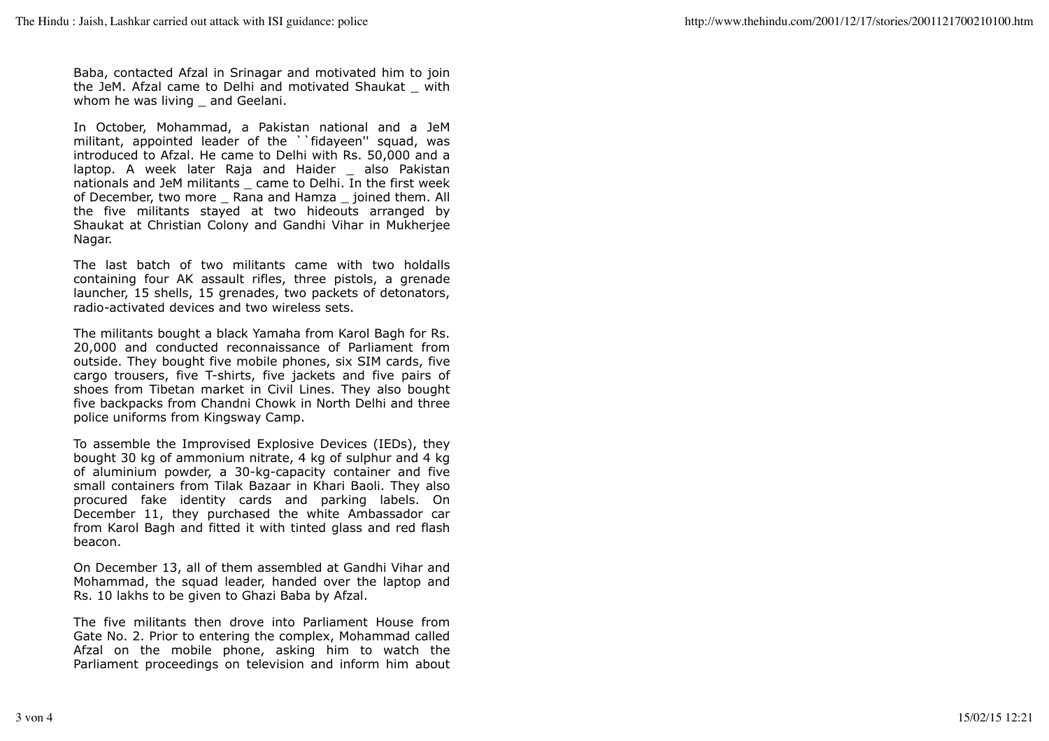Baba, contacted Afzal in Srinagar and motivated him to join the JeM. Afzal came to Delhi and motivated Shaukat \_ with whom he was living and Geelani.

In October, Mohammad, a Pakistan national and a JeM militant, appointed leader of the ``fidayeen'' squad, was introduced to Afzal. He came to Delhi with Rs. 50,000 and a laptop. A week later Raja and Haider also Pakistan nationals and JeM militants \_ came to Delhi. In the first week of December, two more \_ Rana and Hamza \_ joined them. All the five militants stayed at two hideouts arranged by Shaukat at Christian Colony and Gandhi Vihar in Mukherjee Nagar.

The last batch of two militants came with two holdalls containing four AK assault rifles, three pistols, a grenade launcher, 15 shells, 15 grenades, two packets of detonators, radio-activated devices and two wireless sets.

The militants bought a black Yamaha from Karol Bagh for Rs. 20,000 and conducted reconnaissance of Parliament from outside. They bought five mobile phones, six SIM cards, five cargo trousers, five T-shirts, five jackets and five pairs of shoes from Tibetan market in Civil Lines. They also bought five backpacks from Chandni Chowk in North Delhi and three police uniforms from Kingsway Camp.

To assemble the Improvised Explosive Devices (IEDs), they bought 30 kg of ammonium nitrate, 4 kg of sulphur and 4 kg of aluminium powder, a 30-kg-capacity container and five small containers from Tilak Bazaar in Khari Baoli. They also procured fake identity cards and parking labels. On December 11, they purchased the white Ambassador car from Karol Bagh and fitted it with tinted glass and red flash beacon.

On December 13, all of them assembled at Gandhi Vihar and Mohammad, the squad leader, handed over the laptop and Rs. 10 lakhs to be given to Ghazi Baba by Afzal.

The five militants then drove into Parliament House from Gate No. 2. Prior to entering the complex, Mohammad called Afzal on the mobile phone, asking him to watch the Parliament proceedings on television and inform him about